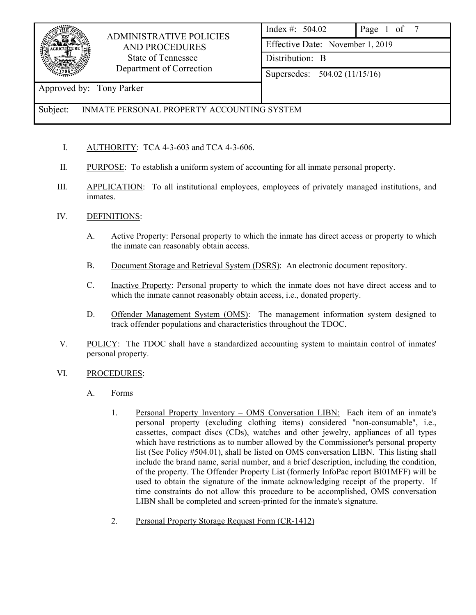

## ADMINISTRATIVE POLICIES AND PROCEDURES State of Tennessee Department of Correction

| Index #: $504.02$                | Page 1 of 7 |  |  |  |
|----------------------------------|-------------|--|--|--|
| Effective Date: November 1, 2019 |             |  |  |  |
| Distribution: B                  |             |  |  |  |
| Supersedes: 504.02 (11/15/16)    |             |  |  |  |

### Approved by: Tony Parker

### Subject: INMATE PERSONAL PROPERTY ACCOUNTING SYSTEM

- I. AUTHORITY: TCA 4-3-603 and TCA 4-3-606.
- II. PURPOSE: To establish a uniform system of accounting for all inmate personal property.
- III. APPLICATION: To all institutional employees, employees of privately managed institutions, and inmates.

#### IV. DEFINITIONS:

- A. Active Property: Personal property to which the inmate has direct access or property to which the inmate can reasonably obtain access.
- B. Document Storage and Retrieval System (DSRS): An electronic document repository.
- C. Inactive Property: Personal property to which the inmate does not have direct access and to which the inmate cannot reasonably obtain access, *i.e.*, donated property.
- D. Offender Management System (OMS): The management information system designed to track offender populations and characteristics throughout the TDOC.
- V. POLICY: The TDOC shall have a standardized accounting system to maintain control of inmates' personal property.
- VI. PROCEDURES:
	- A. Forms
		- 1. Personal Property Inventory OMS Conversation LIBN: Each item of an inmate's personal property (excluding clothing items) considered "non-consumable", i.e., cassettes, compact discs (CDs), watches and other jewelry, appliances of all types which have restrictions as to number allowed by the Commissioner's personal property list (See Policy #504.01), shall be listed on OMS conversation LIBN. This listing shall include the brand name, serial number, and a brief description, including the condition, of the property. The Offender Property List (formerly InfoPac report BI01MFF) will be used to obtain the signature of the inmate acknowledging receipt of the property. If time constraints do not allow this procedure to be accomplished, OMS conversation LIBN shall be completed and screen-printed for the inmate's signature.
		- 2. Personal Property Storage Request Form (CR-1412)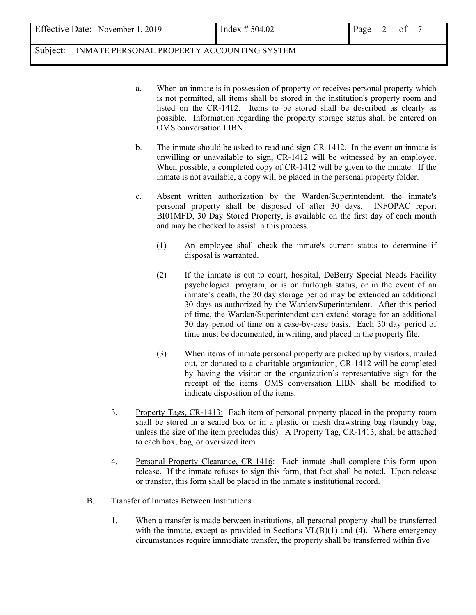Effective Date: November 1, 2019  $\left| \int_{0}^{\frac{\pi}{2}}$  Index # 504.02  $\left| \int_{0}^{\frac{\pi}{2}}$  Page 2 of 7

Subject: INMATE PERSONAL PROPERTY ACCOUNTING SYSTEM

- a. When an inmate is in possession of property or receives personal property which is not permitted, all items shall be stored in the institution's property room and listed on the CR-1412. Items to be stored shall be described as clearly as possible. Information regarding the property storage status shall be entered on OMS conversation LIBN.
- b. The inmate should be asked to read and sign CR-1412. In the event an inmate is unwilling or unavailable to sign, CR-1412 will be witnessed by an employee. When possible, a completed copy of CR-1412 will be given to the inmate. If the inmate is not available, a copy will be placed in the personal property folder.
- c. Absent written authorization by the Warden/Superintendent, the inmate's personal property shall be disposed of after 30 days. INFOPAC report BI01MFD, 30 Day Stored Property, is available on the first day of each month and may be checked to assist in this process.
	- (1) An employee shall check the inmate's current status to determine if disposal is warranted.
	- (2) If the inmate is out to court, hospital, DeBerry Special Needs Facility psychological program, or is on furlough status, or in the event of an inmate's death, the 30 day storage period may be extended an additional 30 days as authorized by the Warden/Superintendent. After this period of time, the Warden/Superintendent can extend storage for an additional 30 day period of time on a case-by-case basis. Each 30 day period of time must be documented, in writing, and placed in the property file.
	- (3) When items of inmate personal property are picked up by visitors, mailed out, or donated to a charitable organization, CR-1412 will be completed by having the visitor or the organization's representative sign for the receipt of the items. OMS conversation LIBN shall be modified to indicate disposition of the items.
- 3. Property Tags, CR-1413: Each item of personal property placed in the property room shall be stored in a sealed box or in a plastic or mesh drawstring bag (laundry bag, unless the size of the item precludes this). A Property Tag, CR-1413, shall be attached to each box, bag, or oversized item.
- 4. Personal Property Clearance, CR-1416: Each inmate shall complete this form upon release. If the inmate refuses to sign this form, that fact shall be noted. Upon release or transfer, this form shall be placed in the inmate's institutional record.
- B. Transfer of Inmates Between Institutions
	- 1. When a transfer is made between institutions, all personal property shall be transferred with the inmate, except as provided in Sections  $VI(B)(1)$  and (4). Where emergency circumstances require immediate transfer, the property shall be transferred within five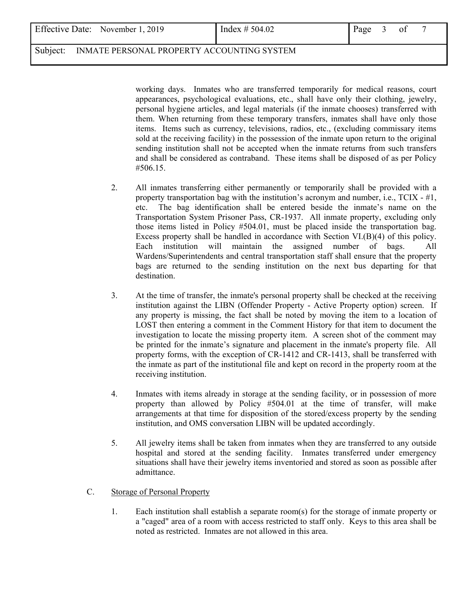Effective Date: November 1, 2019  $\left[\text{Index } \# 504.02 \right]$  Page 3 of 7

## Subject: INMATE PERSONAL PROPERTY ACCOUNTING SYSTEM

 working days. Inmates who are transferred temporarily for medical reasons, court appearances, psychological evaluations, etc., shall have only their clothing, jewelry, personal hygiene articles, and legal materials (if the inmate chooses) transferred with them. When returning from these temporary transfers, inmates shall have only those items. Items such as currency, televisions, radios, etc., (excluding commissary items sold at the receiving facility) in the possession of the inmate upon return to the original sending institution shall not be accepted when the inmate returns from such transfers and shall be considered as contraband. These items shall be disposed of as per Policy #506.15.

- 2. All inmates transferring either permanently or temporarily shall be provided with a property transportation bag with the institution's acronym and number, i.e.,  $TCIX - #1$ , etc. The bag identification shall be entered beside the inmate's name on the Transportation System Prisoner Pass, CR-1937. All inmate property, excluding only those items listed in Policy #504.01, must be placed inside the transportation bag. Excess property shall be handled in accordance with Section  $VI(B)(4)$  of this policy. Each institution will maintain the assigned number of bags. All Wardens/Superintendents and central transportation staff shall ensure that the property bags are returned to the sending institution on the next bus departing for that destination.
- 3. At the time of transfer, the inmate's personal property shall be checked at the receiving institution against the LIBN (Offender Property - Active Property option) screen. If any property is missing, the fact shall be noted by moving the item to a location of LOST then entering a comment in the Comment History for that item to document the investigation to locate the missing property item. A screen shot of the comment may be printed for the inmate's signature and placement in the inmate's property file. All property forms, with the exception of CR-1412 and CR-1413, shall be transferred with the inmate as part of the institutional file and kept on record in the property room at the receiving institution.
- 4. Inmates with items already in storage at the sending facility, or in possession of more property than allowed by Policy #504.01 at the time of transfer, will make arrangements at that time for disposition of the stored/excess property by the sending institution, and OMS conversation LIBN will be updated accordingly.
- 5. All jewelry items shall be taken from inmates when they are transferred to any outside hospital and stored at the sending facility. Inmates transferred under emergency situations shall have their jewelry items inventoried and stored as soon as possible after admittance.

## C. Storage of Personal Property

1. Each institution shall establish a separate room(s) for the storage of inmate property or a "caged" area of a room with access restricted to staff only. Keys to this area shall be noted as restricted. Inmates are not allowed in this area.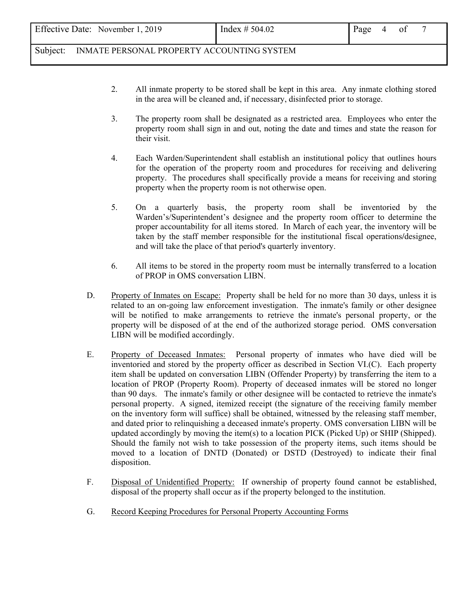Subject: INMATE PERSONAL PROPERTY ACCOUNTING SYSTEM

- 2. All inmate property to be stored shall be kept in this area. Any inmate clothing stored in the area will be cleaned and, if necessary, disinfected prior to storage.
- 3. The property room shall be designated as a restricted area. Employees who enter the property room shall sign in and out, noting the date and times and state the reason for their visit.
- 4. Each Warden/Superintendent shall establish an institutional policy that outlines hours for the operation of the property room and procedures for receiving and delivering property. The procedures shall specifically provide a means for receiving and storing property when the property room is not otherwise open.
- 5. On a quarterly basis, the property room shall be inventoried by the Warden's/Superintendent's designee and the property room officer to determine the proper accountability for all items stored. In March of each year, the inventory will be taken by the staff member responsible for the institutional fiscal operations**/**designee, and will take the place of that period's quarterly inventory.
- 6. All items to be stored in the property room must be internally transferred to a location of PROP in OMS conversation LIBN.
- D. Property of Inmates on Escape: Property shall be held for no more than 30 days, unless it is related to an on-going law enforcement investigation. The inmate's family or other designee will be notified to make arrangements to retrieve the inmate's personal property, or the property will be disposed of at the end of the authorized storage period. OMS conversation LIBN will be modified accordingly.
- E. Property of Deceased Inmates: Personal property of inmates who have died will be inventoried and stored by the property officer as described in Section VI.(C). Each property item shall be updated on conversation LIBN (Offender Property) by transferring the item to a location of PROP (Property Room). Property of deceased inmates will be stored no longer than 90 days. The inmate's family or other designee will be contacted to retrieve the inmate's personal property. A signed, itemized receipt (the signature of the receiving family member on the inventory form will suffice) shall be obtained, witnessed by the releasing staff member, and dated prior to relinquishing a deceased inmate's property. OMS conversation LIBN will be updated accordingly by moving the item(s) to a location PICK (Picked Up) or SHIP (Shipped). Should the family not wish to take possession of the property items, such items should be moved to a location of DNTD (Donated) or DSTD (Destroyed) to indicate their final disposition.
- F. Disposal of Unidentified Property: If ownership of property found cannot be established, disposal of the property shall occur as if the property belonged to the institution.
- G. Record Keeping Procedures for Personal Property Accounting Forms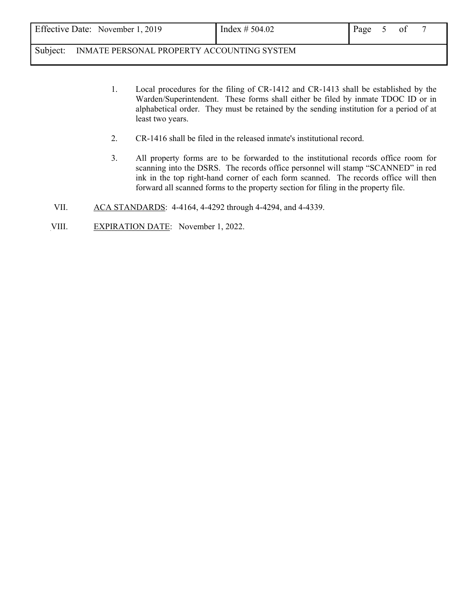Subject: INMATE PERSONAL PROPERTY ACCOUNTING SYSTEM

- 1. Local procedures for the filing of CR-1412 and CR-1413 shall be established by the Warden/Superintendent. These forms shall either be filed by inmate TDOC ID or in alphabetical order. They must be retained by the sending institution for a period of at least two years.
- 2. CR-1416 shall be filed in the released inmate's institutional record.
- 3. All property forms are to be forwarded to the institutional records office room for scanning into the DSRS. The records office personnel will stamp "SCANNED" in red ink in the top right-hand corner of each form scanned. The records office will then forward all scanned forms to the property section for filing in the property file.
- VII. ACA STANDARDS: 4-4164, 4-4292 through 4-4294, and 4-4339.
- VIII. EXPIRATION DATE: November 1, 2022.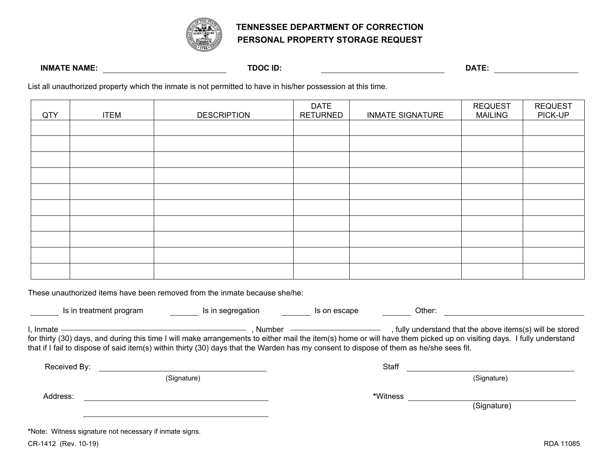

## **TENNESSEE DEPARTMENT OF CORRECTION PERSONAL PROPERTY STORAGE REQUEST**

#### **INMATE NAME: TDOC ID: DATE:**

List all unauthorized property which the inmate is not permitted to have in his/her possession at this time.

| QTY | <b>ITEM</b> | <b>DESCRIPTION</b> | <b>DATE</b><br><b>RETURNED</b> | <b>INMATE SIGNATURE</b> | <b>REQUEST</b><br><b>MAILING</b> | <b>REQUEST</b><br>PICK-UP |
|-----|-------------|--------------------|--------------------------------|-------------------------|----------------------------------|---------------------------|
|     |             |                    |                                |                         |                                  |                           |
|     |             |                    |                                |                         |                                  |                           |
|     |             |                    |                                |                         |                                  |                           |
|     |             |                    |                                |                         |                                  |                           |
|     |             |                    |                                |                         |                                  |                           |
|     |             |                    |                                |                         |                                  |                           |
|     |             |                    |                                |                         |                                  |                           |
|     |             |                    |                                |                         |                                  |                           |
|     |             |                    |                                |                         |                                  |                           |
|     |             |                    |                                |                         |                                  |                           |

These unauthorized items have been removed from the inmate because she/he:

| Is in treatment program                                                                                                                                                                                                                                                                                                                                                                             | Is in segregation | Is on escape | Other:   |             |  |  |
|-----------------------------------------------------------------------------------------------------------------------------------------------------------------------------------------------------------------------------------------------------------------------------------------------------------------------------------------------------------------------------------------------------|-------------------|--------------|----------|-------------|--|--|
| . Number<br>fully understand that the above items(s) will be stored<br>I. Inmate<br>for thirty (30) days, and during this time I will make arrangements to either mail the item(s) home or will have them picked up on visiting days. I fully understand<br>that if I fail to dispose of said item(s) within thirty (30) days that the Warden has my consent to dispose of them as he/she sees fit. |                   |              |          |             |  |  |
| Received By:                                                                                                                                                                                                                                                                                                                                                                                        |                   |              | Staff    |             |  |  |
|                                                                                                                                                                                                                                                                                                                                                                                                     | (Signature)       |              |          | (Signature) |  |  |
| Address:                                                                                                                                                                                                                                                                                                                                                                                            |                   |              | *Witness | (Signature) |  |  |

**\***Note: Witness signature not necessary if inmate signs.

CR-1412 (Rev. 10-19) RDA 11085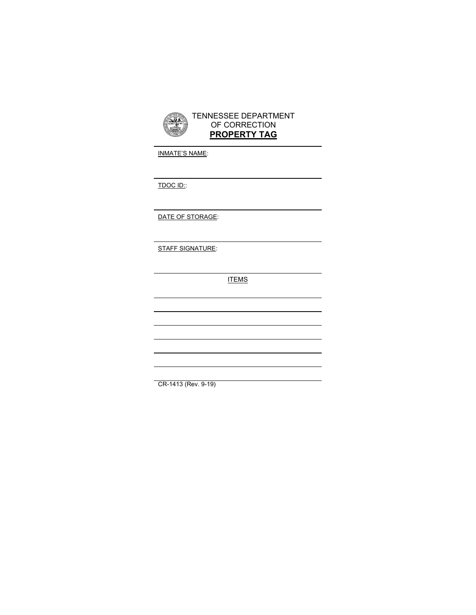

INMATE'S NAME:

TDOC ID::

DATE OF STORAGE:

STAFF SIGNATURE:

**ITEMS** 

CR-1413 (Rev. 9-19)